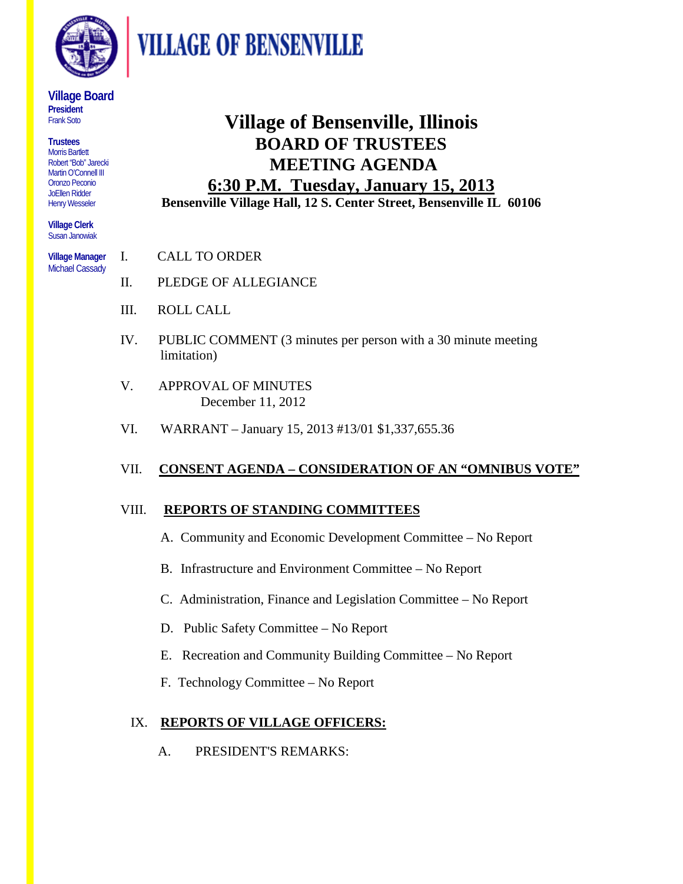

**VILLAGE OF BENSENVILLE** 

#### **Village Board President**  Frank Soto

**Trustees** Morris Bartlett Robert "Bob" Jarecki Martin O'Connell III Oronzo Peconio JoEllen Ridder Henry Wesseler

**Village Clerk** Susan Janowiak

**Village Manager**  Michael Cassady

# **Village of Bensenville, Illinois BOARD OF TRUSTEES MEETING AGENDA 6:30 P.M. Tuesday, January 15, 2013**

**Bensenville Village Hall, 12 S. Center Street, Bensenville IL 60106**

- I. CALL TO ORDER
- II. PLEDGE OF ALLEGIANCE
- III. ROLL CALL
- IV. PUBLIC COMMENT (3 minutes per person with a 30 minute meeting limitation)
- V. APPROVAL OF MINUTES December 11, 2012
- VI. WARRANT January 15, 2013 #13/01 \$1,337,655.36

# VII. **CONSENT AGENDA – CONSIDERATION OF AN "OMNIBUS VOTE"**

### VIII. **REPORTS OF STANDING COMMITTEES**

- A. Community and Economic Development Committee No Report
- B. Infrastructure and Environment Committee No Report
- C. Administration, Finance and Legislation Committee No Report
- D. Public Safety Committee No Report
- E. Recreation and Community Building Committee No Report
- F. Technology Committee No Report

## IX. **REPORTS OF VILLAGE OFFICERS:**

A. PRESIDENT'S REMARKS: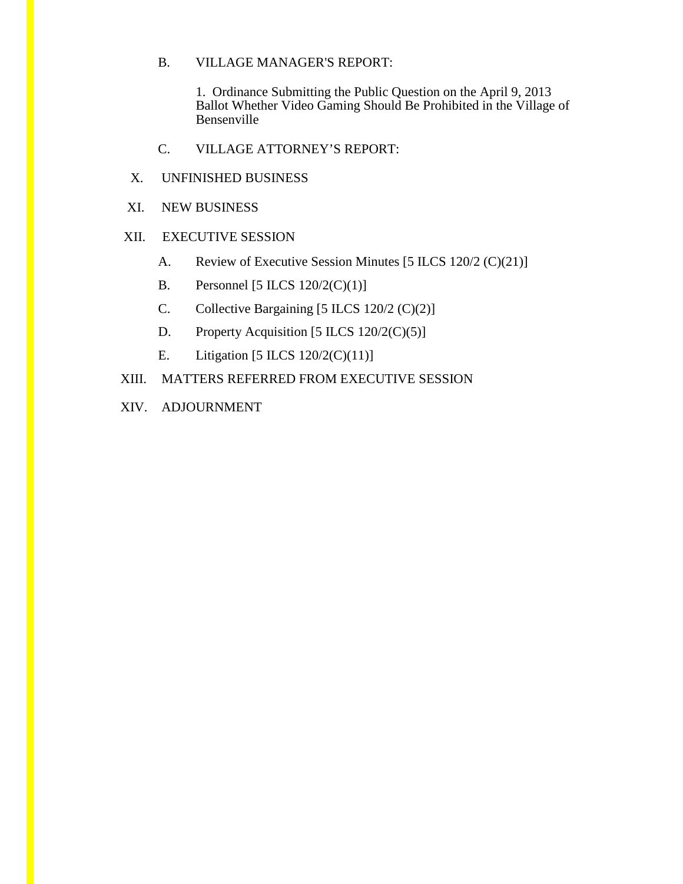### B. VILLAGE MANAGER'S REPORT:

1. Ordinance Submitting the Public Question on the April 9, 2013 Ballot Whether Video Gaming Should Be Prohibited in the Village of Bensenville

- C. VILLAGE ATTORNEY'S REPORT:
- X. UNFINISHED BUSINESS
- XI. NEW BUSINESS

### XII. EXECUTIVE SESSION

- A. Review of Executive Session Minutes [5 ILCS 120/2 (C)(21)]
- B. Personnel [5 ILCS  $120/2(C)(1)$ ]
- C. Collective Bargaining [5 ILCS 120/2 (C)(2)]
- D. Property Acquisition [5 ILCS  $120/2(C)(5)$ ]
- E. Litigation  $[5 \text{ ILCS } 120/2 \text{ (C)}(11)]$
- XIII. MATTERS REFERRED FROM EXECUTIVE SESSION
- XIV. ADJOURNMENT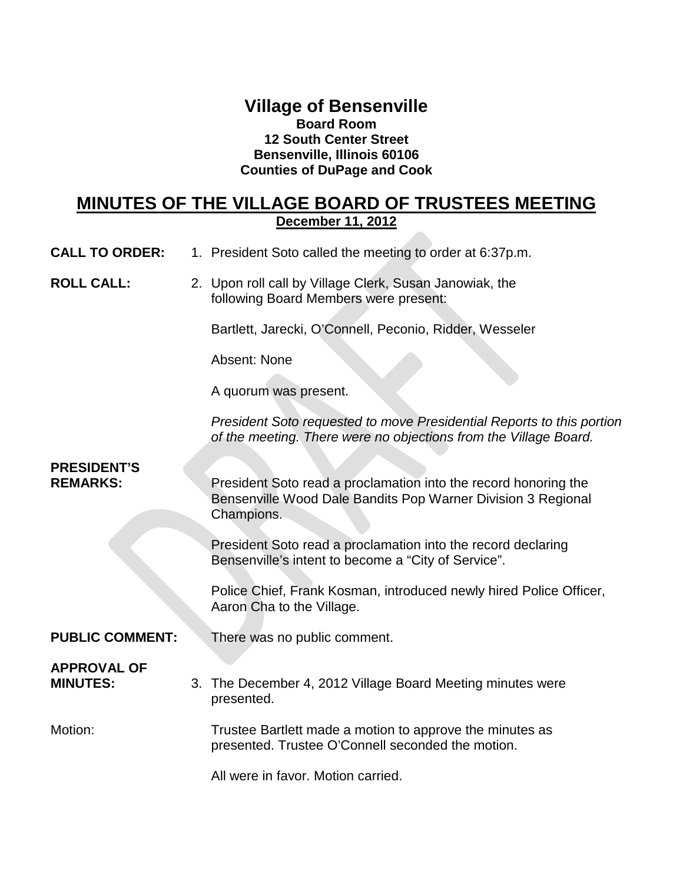### **Village of Bensenville Board Room 12 South Center Street Bensenville, Illinois 60106 Counties of DuPage and Cook**

## **MINUTES OF THE VILLAGE BOARD OF TRUSTEES MEETING December 11, 2012**

- **CALL TO ORDER:** 1. President Soto called the meeting to order at 6:37p.m.
- **ROLL CALL:** 2. Upon roll call by Village Clerk, Susan Janowiak, the following Board Members were present:

Bartlett, Jarecki, O'Connell, Peconio, Ridder, Wesseler

Absent: None

A quorum was present.

*President Soto requested to move Presidential Reports to this portion of the meeting. There were no objections from the Village Board.*

# **PRESIDENT'S**

**REMARKS:** President Soto read a proclamation into the record honoring the Bensenville Wood Dale Bandits Pop Warner Division 3 Regional Champions.

> President Soto read a proclamation into the record declaring Bensenville's intent to become a "City of Service".

Police Chief, Frank Kosman, introduced newly hired Police Officer, Aaron Cha to the Village.

**PUBLIC COMMENT:** There was no public comment.

# **APPROVAL OF**

**MINUTES:** 3. The December 4, 2012 Village Board Meeting minutes were presented.

Motion: Trustee Bartlett made a motion to approve the minutes as presented. Trustee O'Connell seconded the motion.

All were in favor. Motion carried.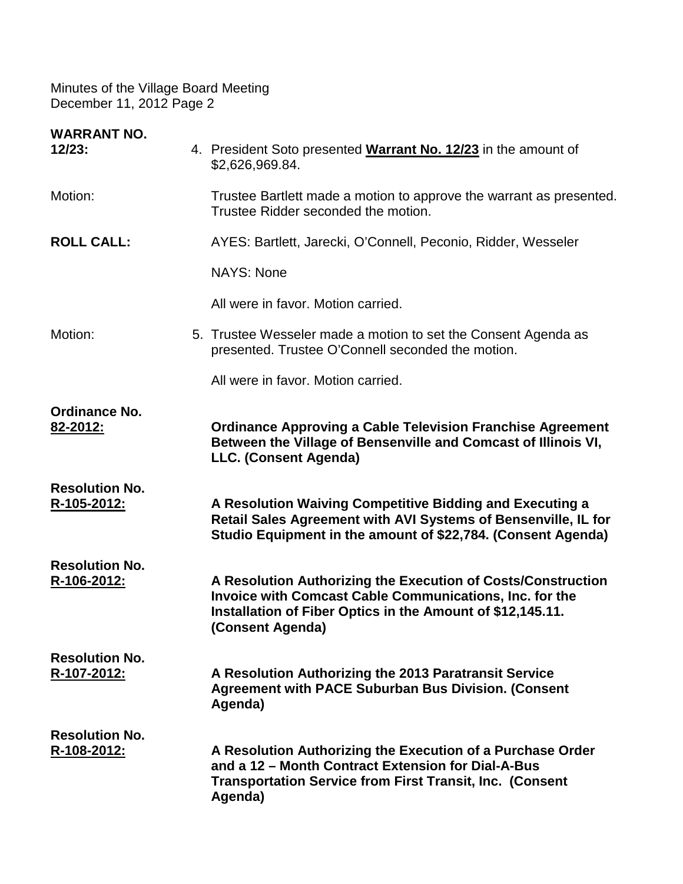| <b>WARRANT NO.</b><br>12/23:         | 4. President Soto presented Warrant No. 12/23 in the amount of<br>\$2,626,969.84.                                                                                                                                |
|--------------------------------------|------------------------------------------------------------------------------------------------------------------------------------------------------------------------------------------------------------------|
| Motion:                              | Trustee Bartlett made a motion to approve the warrant as presented.<br>Trustee Ridder seconded the motion.                                                                                                       |
| <b>ROLL CALL:</b>                    | AYES: Bartlett, Jarecki, O'Connell, Peconio, Ridder, Wesseler                                                                                                                                                    |
|                                      | <b>NAYS: None</b>                                                                                                                                                                                                |
|                                      | All were in favor. Motion carried.                                                                                                                                                                               |
| Motion:                              | 5. Trustee Wesseler made a motion to set the Consent Agenda as<br>presented. Trustee O'Connell seconded the motion.                                                                                              |
|                                      | All were in favor. Motion carried.                                                                                                                                                                               |
| <b>Ordinance No.</b><br>82-2012:     | <b>Ordinance Approving a Cable Television Franchise Agreement</b><br>Between the Village of Bensenville and Comcast of Illinois VI,<br>LLC. (Consent Agenda)                                                     |
| <b>Resolution No.</b><br>R-105-2012: | A Resolution Waiving Competitive Bidding and Executing a<br>Retail Sales Agreement with AVI Systems of Bensenville, IL for<br>Studio Equipment in the amount of \$22,784. (Consent Agenda)                       |
| <b>Resolution No.</b><br>R-106-2012: | A Resolution Authorizing the Execution of Costs/Construction<br><b>Invoice with Comcast Cable Communications, Inc. for the</b><br>Installation of Fiber Optics in the Amount of \$12,145.11.<br>(Consent Agenda) |
| <b>Resolution No.</b><br>R-107-2012: | A Resolution Authorizing the 2013 Paratransit Service<br><b>Agreement with PACE Suburban Bus Division. (Consent</b><br>Agenda)                                                                                   |
| <b>Resolution No.</b><br>R-108-2012: | A Resolution Authorizing the Execution of a Purchase Order<br>and a 12 - Month Contract Extension for Dial-A-Bus<br><b>Transportation Service from First Transit, Inc. (Consent</b><br>Agenda)                   |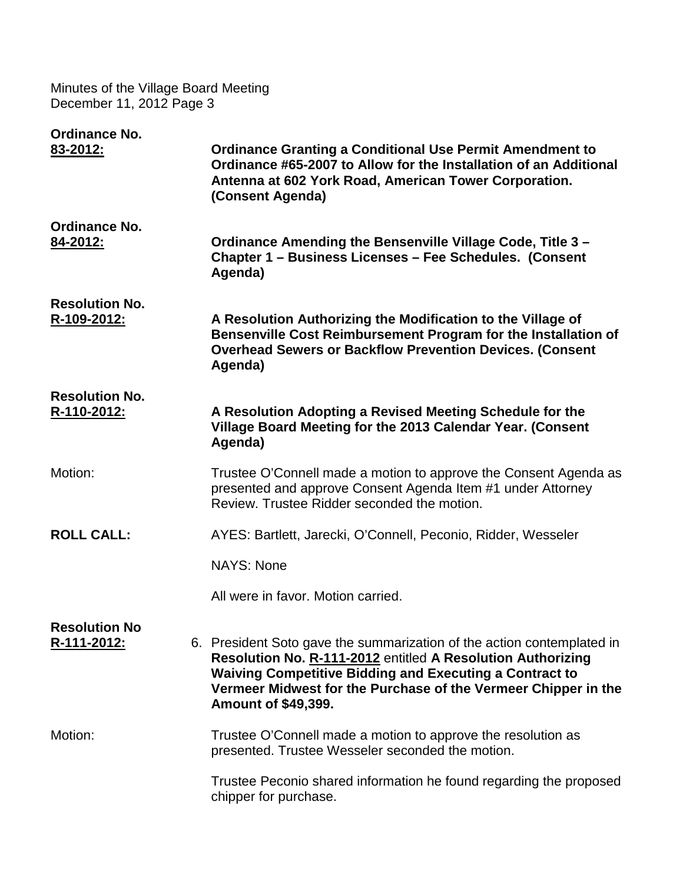| <b>Ordinance No.</b><br>83-2012:     | <b>Ordinance Granting a Conditional Use Permit Amendment to</b><br>Ordinance #65-2007 to Allow for the Installation of an Additional<br>Antenna at 602 York Road, American Tower Corporation.<br>(Consent Agenda)                                                                                       |
|--------------------------------------|---------------------------------------------------------------------------------------------------------------------------------------------------------------------------------------------------------------------------------------------------------------------------------------------------------|
| <b>Ordinance No.</b><br>84-2012:     | Ordinance Amending the Bensenville Village Code, Title 3 -<br>Chapter 1 - Business Licenses - Fee Schedules. (Consent<br>Agenda)                                                                                                                                                                        |
| <b>Resolution No.</b><br>R-109-2012: | A Resolution Authorizing the Modification to the Village of<br>Bensenville Cost Reimbursement Program for the Installation of<br><b>Overhead Sewers or Backflow Prevention Devices. (Consent</b><br>Agenda)                                                                                             |
| <b>Resolution No.</b><br>R-110-2012: | A Resolution Adopting a Revised Meeting Schedule for the<br>Village Board Meeting for the 2013 Calendar Year. (Consent<br>Agenda)                                                                                                                                                                       |
| Motion:                              | Trustee O'Connell made a motion to approve the Consent Agenda as<br>presented and approve Consent Agenda Item #1 under Attorney<br>Review. Trustee Ridder seconded the motion.                                                                                                                          |
| <b>ROLL CALL:</b>                    | AYES: Bartlett, Jarecki, O'Connell, Peconio, Ridder, Wesseler                                                                                                                                                                                                                                           |
|                                      | <b>NAYS: None</b>                                                                                                                                                                                                                                                                                       |
|                                      | All were in favor. Motion carried.                                                                                                                                                                                                                                                                      |
| <b>Resolution No</b><br>R-111-2012:  | 6. President Soto gave the summarization of the action contemplated in<br>Resolution No. R-111-2012 entitled A Resolution Authorizing<br><b>Waiving Competitive Bidding and Executing a Contract to</b><br>Vermeer Midwest for the Purchase of the Vermeer Chipper in the<br><b>Amount of \$49,399.</b> |
| Motion:                              | Trustee O'Connell made a motion to approve the resolution as<br>presented. Trustee Wesseler seconded the motion.                                                                                                                                                                                        |
|                                      | Trustee Peconio shared information he found regarding the proposed<br>chipper for purchase.                                                                                                                                                                                                             |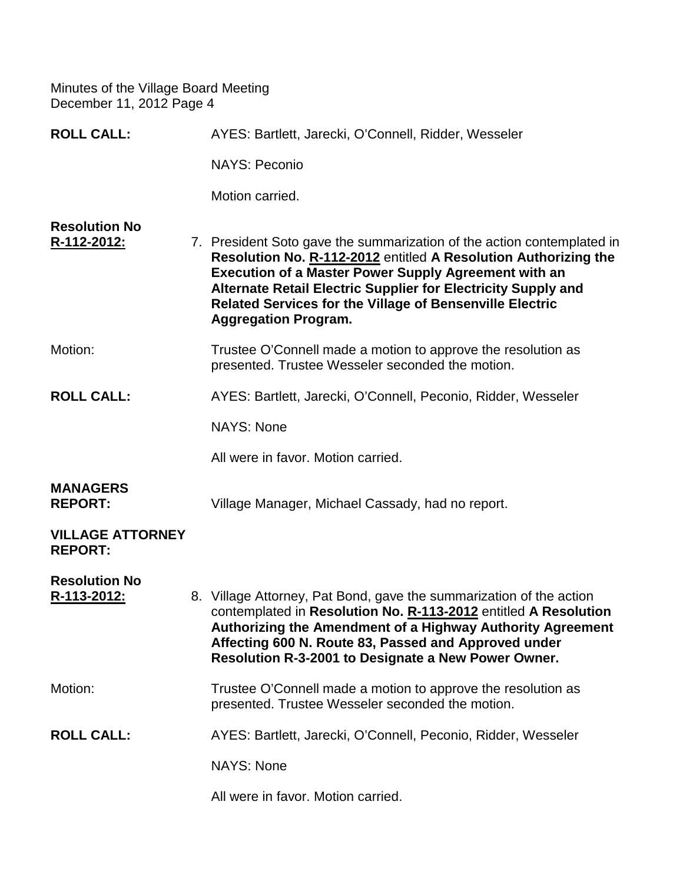| <b>ROLL CALL:</b>                         | AYES: Bartlett, Jarecki, O'Connell, Ridder, Wesseler                                                                                                                                                                                                                                                                                                                        |
|-------------------------------------------|-----------------------------------------------------------------------------------------------------------------------------------------------------------------------------------------------------------------------------------------------------------------------------------------------------------------------------------------------------------------------------|
|                                           | <b>NAYS: Peconio</b>                                                                                                                                                                                                                                                                                                                                                        |
|                                           | Motion carried.                                                                                                                                                                                                                                                                                                                                                             |
| <b>Resolution No</b><br>R-112-2012:       | 7. President Soto gave the summarization of the action contemplated in<br>Resolution No. R-112-2012 entitled A Resolution Authorizing the<br><b>Execution of a Master Power Supply Agreement with an</b><br>Alternate Retail Electric Supplier for Electricity Supply and<br><b>Related Services for the Village of Bensenville Electric</b><br><b>Aggregation Program.</b> |
| Motion:                                   | Trustee O'Connell made a motion to approve the resolution as<br>presented. Trustee Wesseler seconded the motion.                                                                                                                                                                                                                                                            |
| <b>ROLL CALL:</b>                         | AYES: Bartlett, Jarecki, O'Connell, Peconio, Ridder, Wesseler                                                                                                                                                                                                                                                                                                               |
|                                           | <b>NAYS: None</b>                                                                                                                                                                                                                                                                                                                                                           |
|                                           | All were in favor. Motion carried.                                                                                                                                                                                                                                                                                                                                          |
| <b>MANAGERS</b><br><b>REPORT:</b>         | Village Manager, Michael Cassady, had no report.                                                                                                                                                                                                                                                                                                                            |
| <b>VILLAGE ATTORNEY</b><br><b>REPORT:</b> |                                                                                                                                                                                                                                                                                                                                                                             |
| <b>Resolution No</b><br>R-113-2012:       | 8. Village Attorney, Pat Bond, gave the summarization of the action<br>contemplated in Resolution No. R-113-2012 entitled A Resolution<br>Authorizing the Amendment of a Highway Authority Agreement<br>Affecting 600 N. Route 83, Passed and Approved under<br>Resolution R-3-2001 to Designate a New Power Owner.                                                         |
| Motion:                                   | Trustee O'Connell made a motion to approve the resolution as<br>presented. Trustee Wesseler seconded the motion.                                                                                                                                                                                                                                                            |
| <b>ROLL CALL:</b>                         | AYES: Bartlett, Jarecki, O'Connell, Peconio, Ridder, Wesseler                                                                                                                                                                                                                                                                                                               |
|                                           | <b>NAYS: None</b>                                                                                                                                                                                                                                                                                                                                                           |
|                                           | All were in favor. Motion carried.                                                                                                                                                                                                                                                                                                                                          |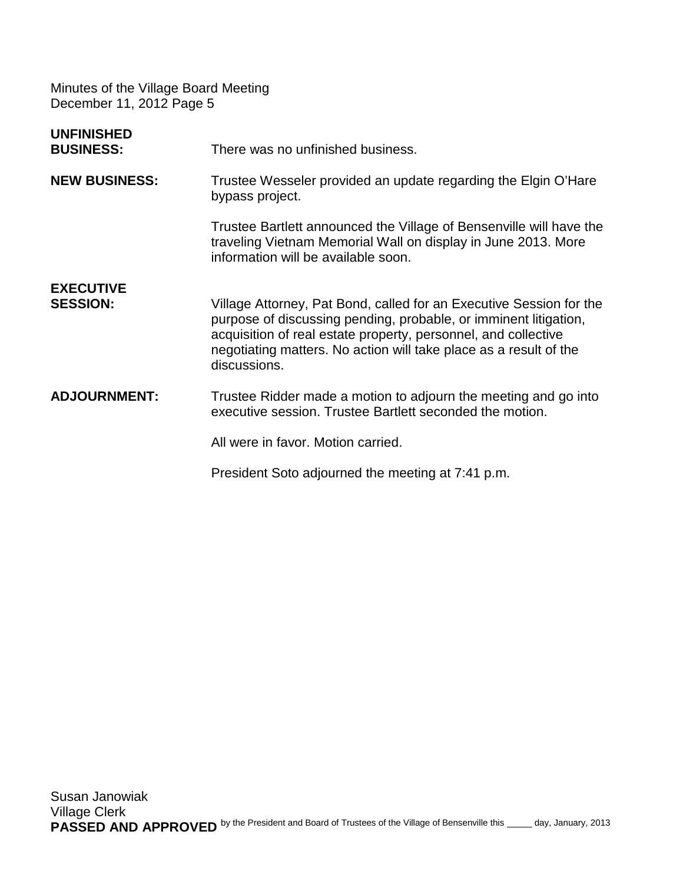| <b>UNFINISHED</b><br><b>BUSINESS:</b> | There was no unfinished business.                                                                                                                                                                                                                                                              |
|---------------------------------------|------------------------------------------------------------------------------------------------------------------------------------------------------------------------------------------------------------------------------------------------------------------------------------------------|
| <b>NEW BUSINESS:</b>                  | Trustee Wesseler provided an update regarding the Elgin O'Hare<br>bypass project.                                                                                                                                                                                                              |
|                                       | Trustee Bartlett announced the Village of Bensenville will have the<br>traveling Vietnam Memorial Wall on display in June 2013. More<br>information will be available soon.                                                                                                                    |
| <b>EXECUTIVE</b><br><b>SESSION:</b>   | Village Attorney, Pat Bond, called for an Executive Session for the<br>purpose of discussing pending, probable, or imminent litigation,<br>acquisition of real estate property, personnel, and collective<br>negotiating matters. No action will take place as a result of the<br>discussions. |
| <b>ADJOURNMENT:</b>                   | Trustee Ridder made a motion to adjourn the meeting and go into<br>executive session. Trustee Bartlett seconded the motion.                                                                                                                                                                    |
|                                       | All were in favor. Motion carried.                                                                                                                                                                                                                                                             |
|                                       | President Soto adjourned the meeting at 7:41 p.m.                                                                                                                                                                                                                                              |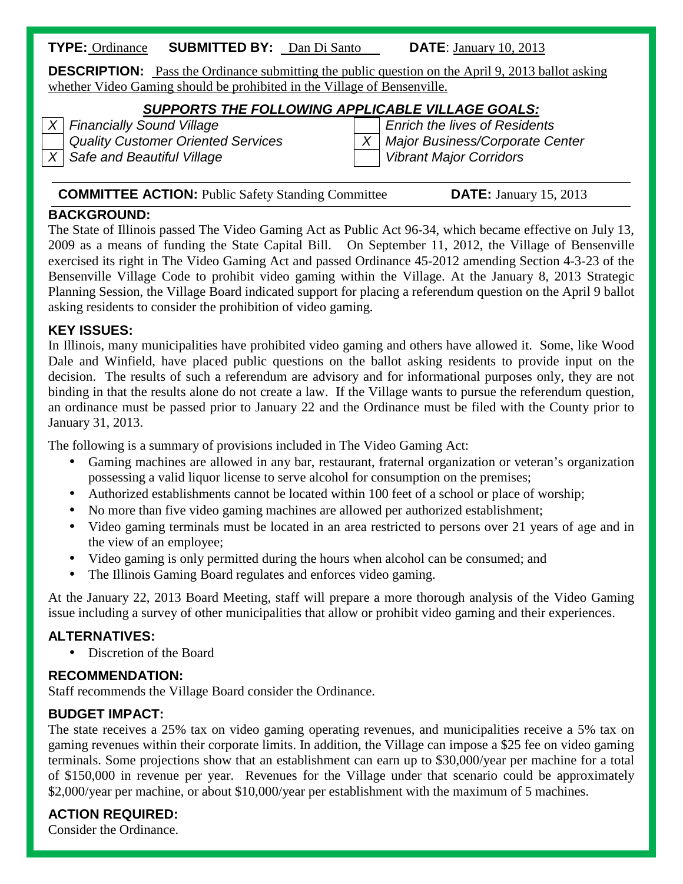### **TYPE:** Ordinance **SUBMITTED BY:** Dan Di Santo **DATE**: January 10, 2013

**DESCRIPTION:** Pass the Ordinance submitting the public question on the April 9, 2013 ballot asking whether Video Gaming should be prohibited in the Village of Bensenville.

# *SUPPORTS THE FOLLOWING APPLICABLE VILLAGE GOALS:*<br>Enrich the lives of Resider

*X Safe and Beautiful Village Vibrant Major Corridors*

*X Financially Sound Village Enrich the lives of Residents Quality Customer Oriented Services X Major Business/Corporate Center*

### **COMMITTEE ACTION:** Public Safety Standing Committee **DATE:** January 15, 2013

### **BACKGROUND:**

The State of Illinois passed The Video Gaming Act as Public Act 96-34, which became effective on July 13, 2009 as a means of funding the State Capital Bill. On September 11, 2012, the Village of Bensenville exercised its right in The Video Gaming Act and passed Ordinance 45-2012 amending Section 4-3-23 of the Bensenville Village Code to prohibit video gaming within the Village. At the January 8, 2013 Strategic Planning Session, the Village Board indicated support for placing a referendum question on the April 9 ballot asking residents to consider the prohibition of video gaming.

### **KEY ISSUES:**

In Illinois, many municipalities have prohibited video gaming and others have allowed it. Some, like Wood Dale and Winfield, have placed public questions on the ballot asking residents to provide input on the decision. The results of such a referendum are advisory and for informational purposes only, they are not binding in that the results alone do not create a law. If the Village wants to pursue the referendum question, an ordinance must be passed prior to January 22 and the Ordinance must be filed with the County prior to January 31, 2013.

The following is a summary of provisions included in The Video Gaming Act:

- Gaming machines are allowed in any bar, restaurant, fraternal organization or veteran's organization possessing a valid liquor license to serve alcohol for consumption on the premises;
- Authorized establishments cannot be located within 100 feet of a school or place of worship;
- No more than five video gaming machines are allowed per authorized establishment;
- Video gaming terminals must be located in an area restricted to persons over 21 years of age and in the view of an employee;
- Video gaming is only permitted during the hours when alcohol can be consumed; and l,
- The Illinois Gaming Board regulates and enforces video gaming. t.

At the January 22, 2013 Board Meeting, staff will prepare a more thorough analysis of the Video Gaming issue including a survey of other municipalities that allow or prohibit video gaming and their experiences.

### **ALTERNATIVES:**

Discretion of the Board

### **RECOMMENDATION:**

Staff recommends the Village Board consider the Ordinance.

### **BUDGET IMPACT:**

The state receives a 25% tax on video gaming operating revenues, and municipalities receive a 5% tax on gaming revenues within their corporate limits. In addition, the Village can impose a \$25 fee on video gaming terminals. Some projections show that an establishment can earn up to \$30,000/year per machine for a total of \$150,000 in revenue per year. Revenues for the Village under that scenario could be approximately \$2,000/year per machine, or about \$10,000/year per establishment with the maximum of 5 machines.

## **ACTION REQUIRED:**

Consider the Ordinance.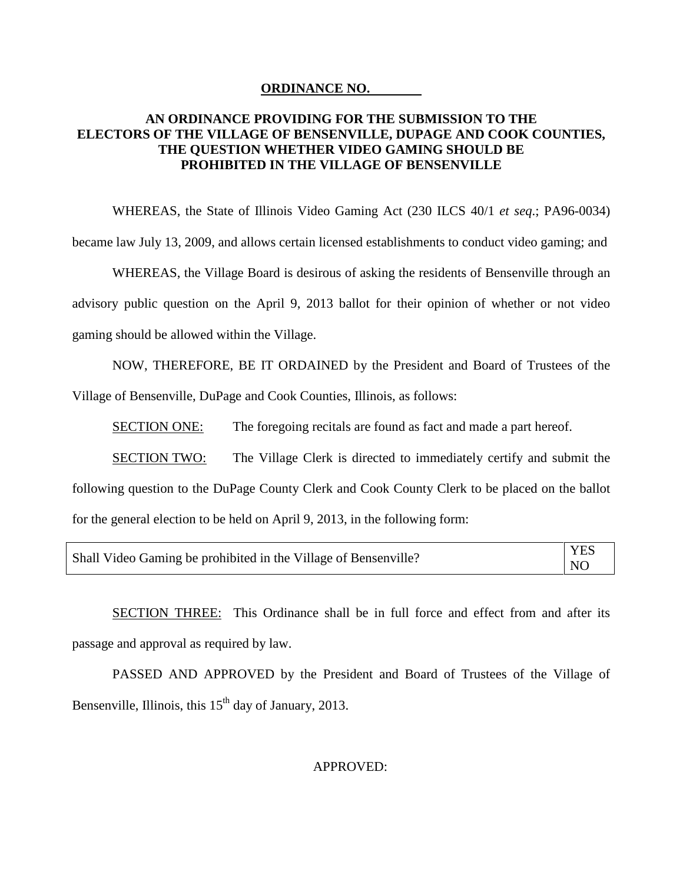#### **ORDINANCE NO.**

### **AN ORDINANCE PROVIDING FOR THE SUBMISSION TO THE ELECTORS OF THE VILLAGE OF BENSENVILLE, DUPAGE AND COOK COUNTIES, THE QUESTION WHETHER VIDEO GAMING SHOULD BE PROHIBITED IN THE VILLAGE OF BENSENVILLE**

WHEREAS, the State of Illinois Video Gaming Act (230 ILCS 40/1 *et seq*.; PA96-0034)

became law July 13, 2009, and allows certain licensed establishments to conduct video gaming; and

WHEREAS, the Village Board is desirous of asking the residents of Bensenville through an advisory public question on the April 9, 2013 ballot for their opinion of whether or not video gaming should be allowed within the Village.

NOW, THEREFORE, BE IT ORDAINED by the President and Board of Trustees of the Village of Bensenville, DuPage and Cook Counties, Illinois, as follows:

SECTION ONE: The foregoing recitals are found as fact and made a part hereof.

SECTION TWO: The Village Clerk is directed to immediately certify and submit the following question to the DuPage County Clerk and Cook County Clerk to be placed on the ballot for the general election to be held on April 9, 2013, in the following form:

|                                                                 | <b>YES</b>     |
|-----------------------------------------------------------------|----------------|
| Shall Video Gaming be prohibited in the Village of Bensenville? | N <sub>C</sub> |

SECTION THREE: This Ordinance shall be in full force and effect from and after its passage and approval as required by law.

PASSED AND APPROVED by the President and Board of Trustees of the Village of Bensenville, Illinois, this  $15<sup>th</sup>$  day of January, 2013.

### APPROVED: